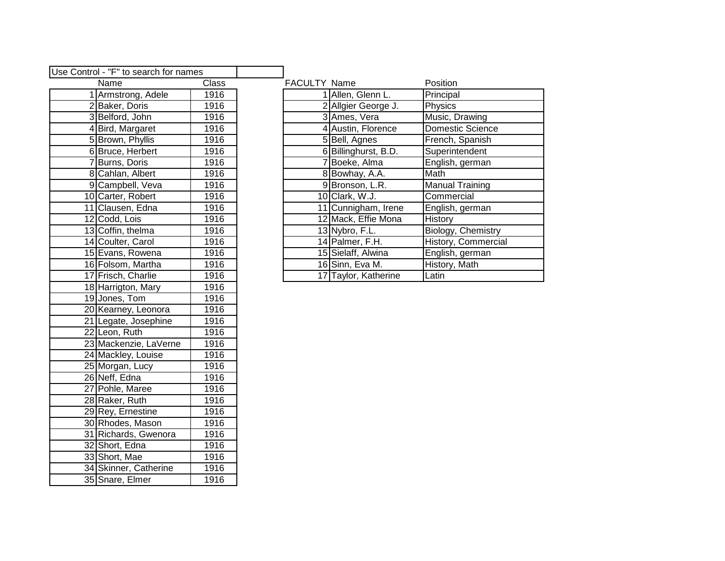| Use Control - "F" to search for names |                       |                           |  |  |  |
|---------------------------------------|-----------------------|---------------------------|--|--|--|
| Name<br>Class                         |                       |                           |  |  |  |
| 1                                     | Armstrong, Adele      |                           |  |  |  |
|                                       | 2 Baker, Doris        | 1916                      |  |  |  |
|                                       | 3 Belford, John       | 1916                      |  |  |  |
|                                       | 4 Bird, Margaret      | 1916                      |  |  |  |
|                                       | 5 Brown, Phyllis      | 1916                      |  |  |  |
|                                       | 6 Bruce, Herbert      | 1916                      |  |  |  |
|                                       | 7 Burns, Doris        | 1916                      |  |  |  |
|                                       | 8 Cahlan, Albert      | 1916                      |  |  |  |
|                                       | 9 Campbell, Veva      |                           |  |  |  |
|                                       | 10 Carter, Robert     | 1916                      |  |  |  |
|                                       | 11 Clausen, Edna      | 1916                      |  |  |  |
|                                       | 12 Codd, Lois         | 1916                      |  |  |  |
|                                       | 13 Coffin, thelma     | 1916                      |  |  |  |
|                                       | 14 Coulter, Carol     | 1916                      |  |  |  |
|                                       | 15 Evans, Rowena      |                           |  |  |  |
|                                       | 16 Folsom, Martha     |                           |  |  |  |
|                                       | 17 Frisch, Charlie    | 1916                      |  |  |  |
|                                       | 18 Harrigton, Mary    |                           |  |  |  |
|                                       | 19 Jones, Tom         |                           |  |  |  |
| 20 Kearney, Leonora                   | 1916                  |                           |  |  |  |
|                                       | 21 Legate, Josephine  | $\overline{1916}$         |  |  |  |
|                                       | 22 Leon, Ruth         | 1916                      |  |  |  |
|                                       | 23 Mackenzie, LaVerne | 1916                      |  |  |  |
|                                       | 24 Mackley, Louise    |                           |  |  |  |
|                                       | 25 Morgan, Lucy       | 1916                      |  |  |  |
|                                       | 26 Neff, Edna         | 1916                      |  |  |  |
|                                       | 27 Pohle, Maree       | 1916                      |  |  |  |
|                                       | 28 Raker, Ruth        | 1916                      |  |  |  |
|                                       | 29 Rey, Ernestine     | 1916                      |  |  |  |
|                                       | 30 Rhodes, Mason      |                           |  |  |  |
|                                       | 31 Richards, Gwenora  | $\frac{1}{19}$ 16<br>1916 |  |  |  |
|                                       | 32 Short, Edna        | 1916                      |  |  |  |
|                                       | 33 Short, Mae         | 1916                      |  |  |  |
|                                       | 34 Skinner, Catherine | 1916                      |  |  |  |
|                                       | 35 Snare, Elmer       | 1916                      |  |  |  |

| ntrol - "F" to search for names |                    |              |                     |                      |                        |
|---------------------------------|--------------------|--------------|---------------------|----------------------|------------------------|
|                                 | Name               | <b>Class</b> | <b>FACULTY Name</b> |                      | Position               |
|                                 | Armstrong, Adele   | 1916         |                     | Allen, Glenn L.      | Principal              |
|                                 | 2 Baker, Doris     | 1916         |                     | 2 Allgier George J.  | Physics                |
|                                 | 3 Belford, John    | 1916         |                     | 3 Ames, Vera         | Music, Drawing         |
|                                 | 4 Bird, Margaret   | 1916         |                     | 4 Austin, Florence   | Domestic Science       |
|                                 | 5 Brown, Phyllis   | 1916         |                     | 5 Bell, Agnes        | French, Spanish        |
|                                 | 6 Bruce, Herbert   | 1916         |                     | 6 Billinghurst, B.D. | Superintendent         |
|                                 | 7 Burns, Doris     | 1916         |                     | Boeke, Alma          | English, german        |
|                                 | 8 Cahlan, Albert   | 1916         |                     | 8 Bowhay, A.A.       | Math                   |
|                                 | 9 Campbell, Veva   | 1916         |                     | 9 Bronson, L.R.      | <b>Manual Training</b> |
|                                 | 10 Carter, Robert  | 1916         |                     | 10 Clark, W.J.       | Commercial             |
|                                 | 11 Clausen, Edna   | 1916         |                     | 11 Cunnigham, Irene  | English, german        |
|                                 | 12 Codd, Lois      | 1916         |                     | 12 Mack, Effie Mona  | History                |
|                                 | 13 Coffin, thelma  | 1916         |                     | 13 Nybro, F.L.       | Biology, Chemistry     |
|                                 | 14 Coulter, Carol  | 1916         |                     | 14 Palmer, F.H.      | History, Commercial    |
|                                 | 15 Evans, Rowena   | 1916         |                     | 15 Sielaff, Alwina   | English, german        |
|                                 | 16 Folsom, Martha  | 1916         |                     | 16 Sinn, Eva M.      | History, Math          |
|                                 | 17 Frisch, Charlie | 1916         |                     | 17 Taylor, Katherine | Latin                  |
|                                 |                    |              |                     |                      |                        |